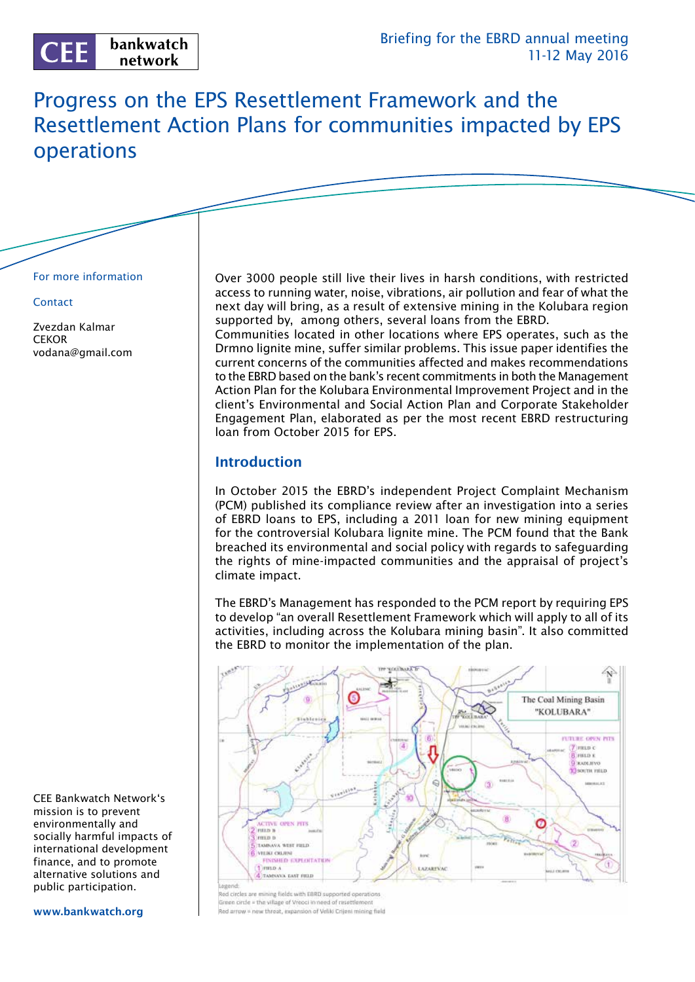# Progress on the EPS Resettlement Framework and the Resettlement Action Plans for communities impacted by EPS operations

#### For more information

#### **Contact**

Zvezdan Kalmar **CEKOR** vodana@gmail.com Over 3000 people still live their lives in harsh conditions, with restricted access to running water, noise, vibrations, air pollution and fear of what the next day will bring, as a result of extensive mining in the Kolubara region supported by, among others, several loans from the EBRD.

Communities located in other locations where EPS operates, such as the Drmno lignite mine, suffer similar problems. This issue paper identifies the current concerns of the communities affected and makes recommendations to the EBRD based on the bank's recent commitments in both the Management Action Plan for the Kolubara Environmental Improvement Project and in the client's Environmental and Social Action Plan and Corporate Stakeholder Engagement Plan, elaborated as per the most recent EBRD restructuring loan from October 2015 for EPS.

## **Introduction**

In October 2015 the EBRD's independent Project Complaint Mechanism (PCM) published its compliance review after an investigation into a series of EBRD loans to EPS, including a 2011 loan for new mining equipment for the controversial Kolubara lignite mine. The PCM found that the Bank breached its environmental and social policy with regards to safeguarding the rights of mine-impacted communities and the appraisal of project's climate impact.

The EBRD's Management has responded to the PCM report by requiring EPS to develop "an overall Resettlement Framework which will apply to all of its activities, including across the Kolubara mining basin". It also committed the EBRD to monitor the implementation of the plan.



Red circles are mining fields with EBRD supported operations ireen circle = the village of Vreoci in need of resettlement Red arrow = new threat, expansion of Veliki Crijeni mining field

CEE Bankwatch Network's mission is to prevent environmentally and socially harmful impacts of international development finance, and to promote alternative solutions and public participation.

#### www.bankwatch.org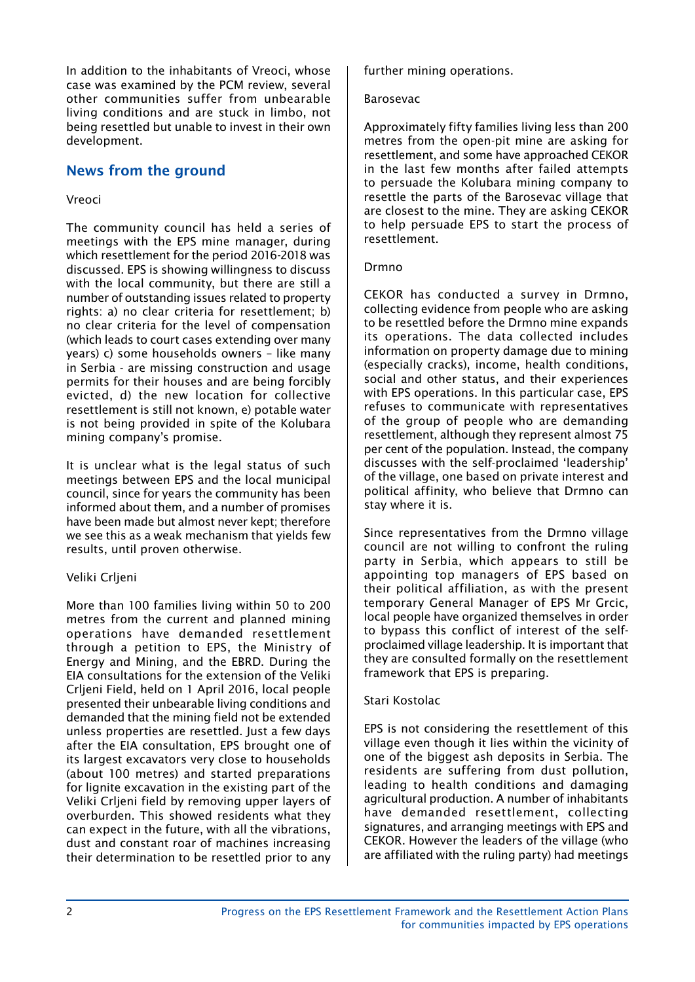In addition to the inhabitants of Vreoci, whose case was examined by the PCM review, several other communities suffer from unbearable living conditions and are stuck in limbo, not being resettled but unable to invest in their own development.

# News from the ground

### Vreoci

The community council has held a series of meetings with the EPS mine manager, during which resettlement for the period 2016-2018 was discussed. EPS is showing willingness to discuss with the local community, but there are still a number of outstanding issues related to property rights: a) no clear criteria for resettlement; b) no clear criteria for the level of compensation (which leads to court cases extending over many years) c) some households owners – like many in Serbia - are missing construction and usage permits for their houses and are being forcibly evicted, d) the new location for collective resettlement is still not known, e) potable water is not being provided in spite of the Kolubara mining company's promise.

It is unclear what is the legal status of such meetings between EPS and the local municipal council, since for years the community has been informed about them, and a number of promises have been made but almost never kept; therefore we see this as a weak mechanism that yields few results, until proven otherwise.

## Veliki Crljeni

More than 100 families living within 50 to 200 metres from the current and planned mining operations have demanded resettlement through a petition to EPS, the Ministry of Energy and Mining, and the EBRD. During the EIA consultations for the extension of the Veliki Crljeni Field, held on 1 April 2016, local people presented their unbearable living conditions and demanded that the mining field not be extended unless properties are resettled. Just a few days after the EIA consultation, EPS brought one of its largest excavators very close to households (about 100 metres) and started preparations for lignite excavation in the existing part of the Veliki Crljeni field by removing upper layers of overburden. This showed residents what they can expect in the future, with all the vibrations, dust and constant roar of machines increasing their determination to be resettled prior to any further mining operations.

#### Barosevac

Approximately fifty families living less than 200 metres from the open-pit mine are asking for resettlement, and some have approached CEKOR in the last few months after failed attempts to persuade the Kolubara mining company to resettle the parts of the Barosevac village that are closest to the mine. They are asking CEKOR to help persuade EPS to start the process of resettlement.

#### Drmno

CEKOR has conducted a survey in Drmno, collecting evidence from people who are asking to be resettled before the Drmno mine expands its operations. The data collected includes information on property damage due to mining (especially cracks), income, health conditions, social and other status, and their experiences with EPS operations. In this particular case, EPS refuses to communicate with representatives of the group of people who are demanding resettlement, although they represent almost 75 per cent of the population. Instead, the company discusses with the self-proclaimed 'leadership' of the village, one based on private interest and political affinity, who believe that Drmno can stay where it is.

Since representatives from the Drmno village council are not willing to confront the ruling party in Serbia, which appears to still be appointing top managers of EPS based on their political affiliation, as with the present temporary General Manager of EPS Mr Grcic, local people have organized themselves in order to bypass this conflict of interest of the selfproclaimed village leadership. It is important that they are consulted formally on the resettlement framework that EPS is preparing.

### Stari Kostolac

EPS is not considering the resettlement of this village even though it lies within the vicinity of one of the biggest ash deposits in Serbia. The residents are suffering from dust pollution, leading to health conditions and damaging agricultural production. A number of inhabitants have demanded resettlement, collecting signatures, and arranging meetings with EPS and CEKOR. However the leaders of the village (who are affiliated with the ruling party) had meetings